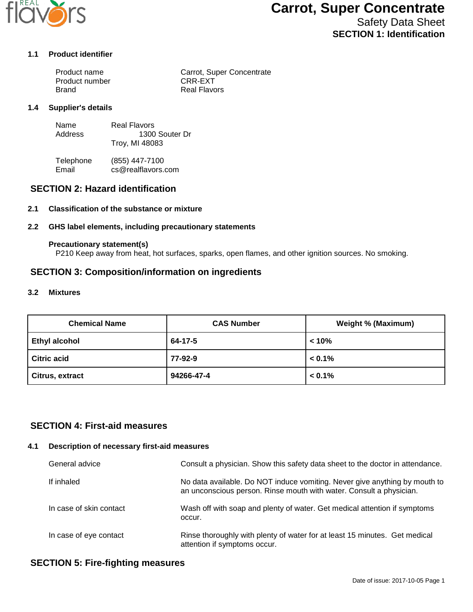

# **Carrot, Super Concentrate**

Safety Data Sheet **SECTION 1: Identification**

#### **1.1 Product identifier**

| Product name   | Carrot, Super Concentrate |
|----------------|---------------------------|
| Product number | CRR-EXT                   |
| Brand          | <b>Real Flavors</b>       |

#### **1.4 Supplier's details**

| Name    | Real Flavors   |
|---------|----------------|
| Address | 1300 Souter Dr |
|         | Troy, MI 48083 |

Telephone (855) 447-7100<br>Email cs@realflavors. cs@realflavors.com

## **SECTION 2: Hazard identification**

#### **2.1 Classification of the substance or mixture**

#### **2.2 GHS label elements, including precautionary statements**

#### **Precautionary statement(s)**

P210 Keep away from heat, hot surfaces, sparks, open flames, and other ignition sources. No smoking.

#### **SECTION 3: Composition/information on ingredients**

#### **3.2 Mixtures**

| <b>Chemical Name</b> | <b>CAS Number</b> | <b>Weight % (Maximum)</b> |
|----------------------|-------------------|---------------------------|
| <b>Ethyl alcohol</b> | 64-17-5           | < 10%                     |
| <b>Citric acid</b>   | 77-92-9           | $< 0.1\%$                 |
| Citrus, extract      | 94266-47-4        | $< 0.1\%$                 |

## **SECTION 4: First-aid measures**

#### **4.1 Description of necessary first-aid measures**

| General advice          | Consult a physician. Show this safety data sheet to the doctor in attendance.                                                                     |
|-------------------------|---------------------------------------------------------------------------------------------------------------------------------------------------|
| If inhaled              | No data available. Do NOT induce vomiting. Never give anything by mouth to<br>an unconscious person. Rinse mouth with water. Consult a physician. |
| In case of skin contact | Wash off with soap and plenty of water. Get medical attention if symptoms<br>occur.                                                               |
| In case of eye contact  | Rinse thoroughly with plenty of water for at least 15 minutes. Get medical<br>attention if symptoms occur.                                        |

## **SECTION 5: Fire-fighting measures**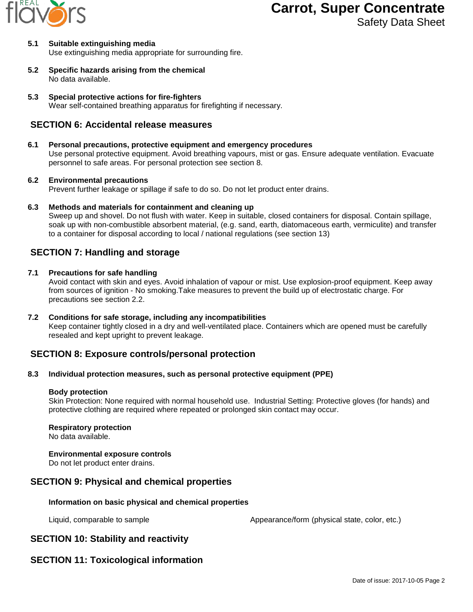

# **Carrot, Super Concentrate**

Safety Data Sheet

#### **5.1 Suitable extinguishing media** Use extinguishing media appropriate for surrounding fire.

**5.2 Specific hazards arising from the chemical** No data available.

**5.3 Special protective actions for fire-fighters** Wear self-contained breathing apparatus for firefighting if necessary.

# **SECTION 6: Accidental release measures**

#### **6.1 Personal precautions, protective equipment and emergency procedures**

Use personal protective equipment. Avoid breathing vapours, mist or gas. Ensure adequate ventilation. Evacuate personnel to safe areas. For personal protection see section 8.

#### **6.2 Environmental precautions**

Prevent further leakage or spillage if safe to do so. Do not let product enter drains.

**6.3 Methods and materials for containment and cleaning up**

Sweep up and shovel. Do not flush with water. Keep in suitable, closed containers for disposal. Contain spillage, soak up with non-combustible absorbent material, (e.g. sand, earth, diatomaceous earth, vermiculite) and transfer to a container for disposal according to local / national regulations (see section 13)

# **SECTION 7: Handling and storage**

#### **7.1 Precautions for safe handling**

Avoid contact with skin and eyes. Avoid inhalation of vapour or mist. Use explosion-proof equipment. Keep away from sources of ignition - No smoking.Take measures to prevent the build up of electrostatic charge. For precautions see section 2.2.

**7.2 Conditions for safe storage, including any incompatibilities** Keep container tightly closed in a dry and well-ventilated place. Containers which are opened must be carefully resealed and kept upright to prevent leakage.

# **SECTION 8: Exposure controls/personal protection**

#### **8.3 Individual protection measures, such as personal protective equipment (PPE)**

#### **Body protection**

Skin Protection: None required with normal household use. Industrial Setting: Protective gloves (for hands) and protective clothing are required where repeated or prolonged skin contact may occur.

#### **Respiratory protection**

No data available.

#### **Environmental exposure controls**

Do not let product enter drains.

# **SECTION 9: Physical and chemical properties**

#### **Information on basic physical and chemical properties**

Liquid, comparable to sample  $\blacksquare$  Appearance/form (physical state, color, etc.)

# **SECTION 10: Stability and reactivity**

# **SECTION 11: Toxicological information**